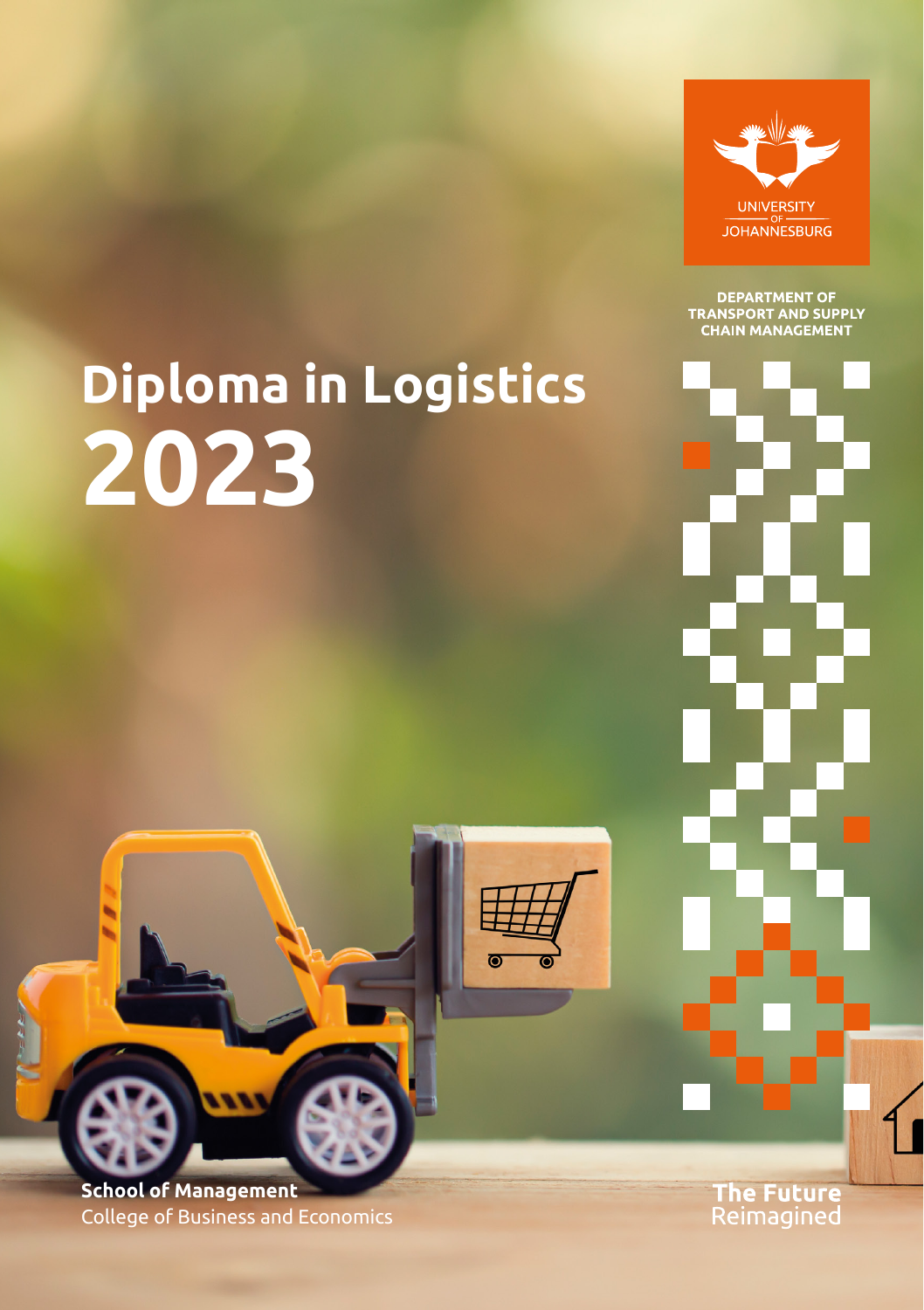

**DEPARTMENT OF<br>TRANSPORT AND SUPPLY<br>CHAIN MANAGEMENT** 

# **Diploma in Logistics 2023**

 $\overline{O}$ 

**School of Management** College of Business and Economics **The Future**<br>Reimagined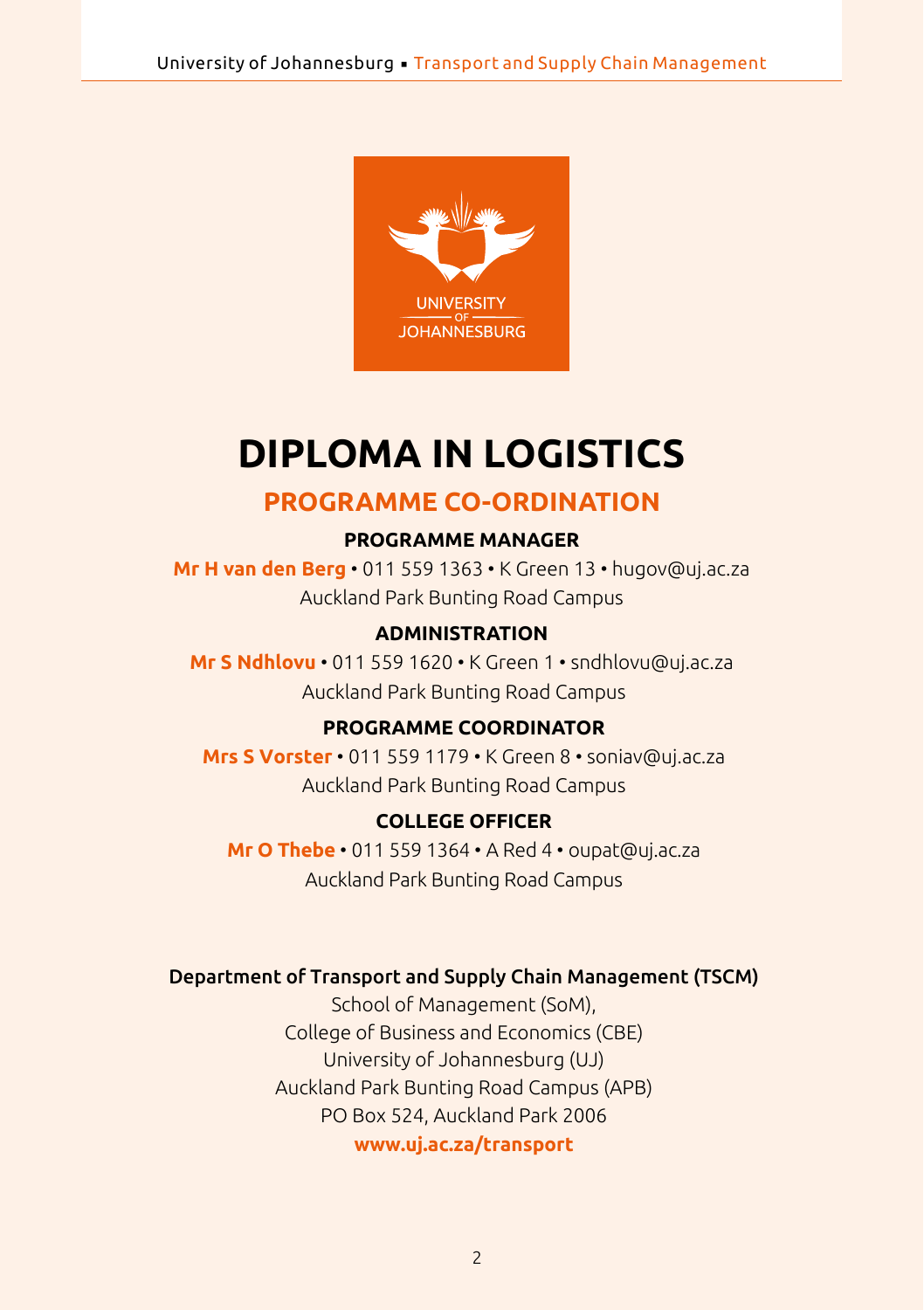

## **DIPLOMA IN LOGISTICS**

## **PROGRAMME CO-ORDINATION**

#### **PROGRAMME MANAGER**

**Mr H van den Berg** • 011 559 1363 • K Green 13 • [hugov@uj.ac.za](mailto:hugov@uj.ac.za)  Auckland Park Bunting Road Campus

#### **ADMINISTRATION**

**Mr S Ndhlovu** • 011 559 1620 • K Green 1 • [sndhlovu@uj.ac.za](mailto:sndhlovu@uj.ac.za) Auckland Park Bunting Road Campus

#### **PROGRAMME COORDINATOR**

**Mrs S Vorster** • 011 559 1179 • K Green 8 • [soniav@uj.ac.za](mailto:soniav@uj.ac.za) Auckland Park Bunting Road Campus

#### **COLLEGE OFFICER**

**Mr O Thebe** • 011 559 1364 • A Red 4 • oupat[@uj.ac.za](mailto:oupat@uj.ac.za) Auckland Park Bunting Road Campus

#### Department of Transport and Supply Chain Management (TSCM)

School of Management (SoM), College of Business and Economics (CBE) University of Johannesburg (UJ) Auckland Park Bunting Road Campus (APB) PO Box 524, Auckland Park 2006

**<www.uj.ac.za/transport>**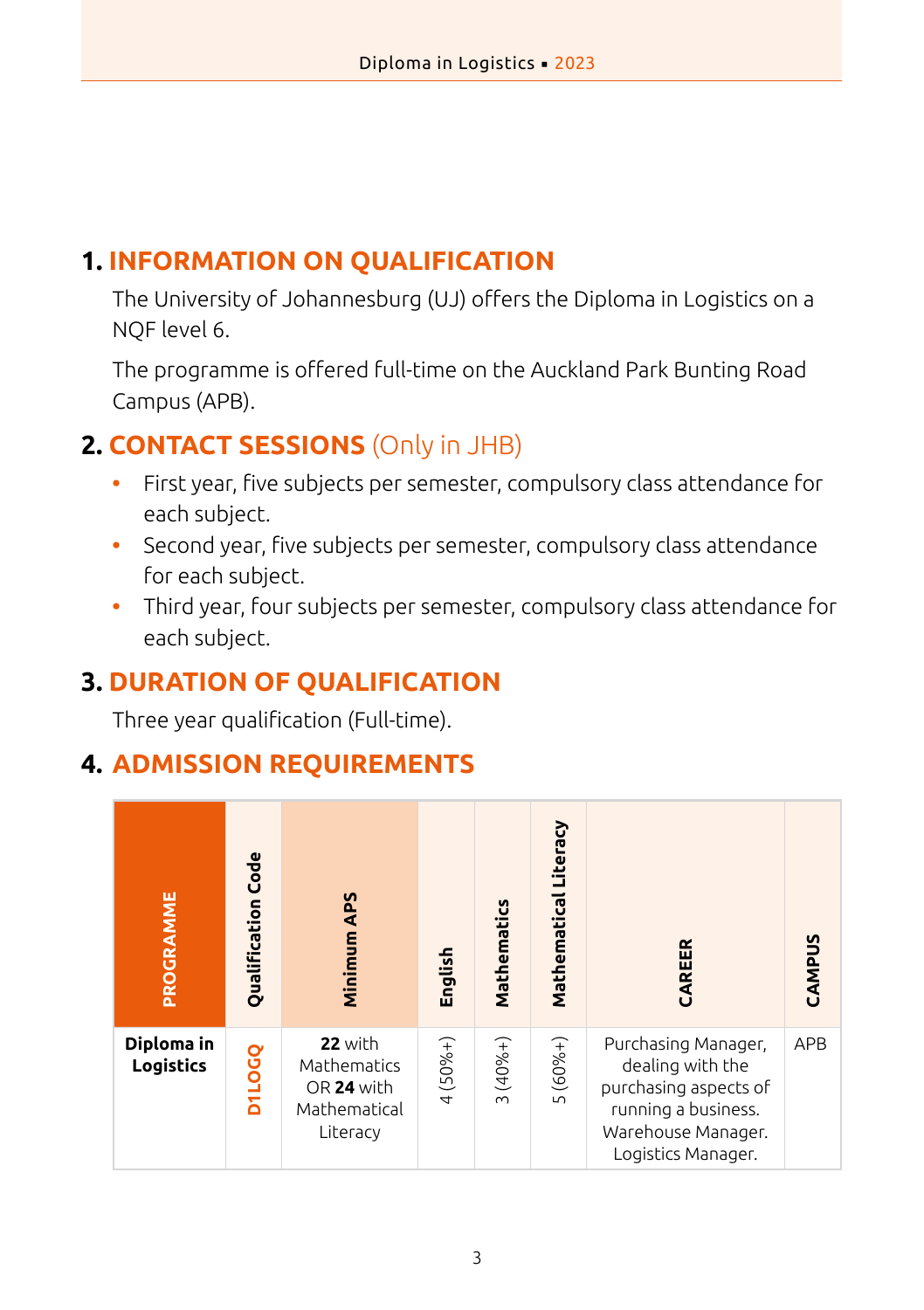## **1. INFORMATION ON QUALIFICATION**

The University of Johannesburg (UJ) offers the Diploma in Logistics on a NQF level 6.

The programme is offered full-time on the Auckland Park Bunting Road Campus (APB).

## **2. CONTACT SESSIONS** (Only in JHB)

- **•** First year, five subjects per semester, compulsory class attendance for each subject.
- **•** Second year, five subjects per semester, compulsory class attendance for each subject.
- **•** Third year, four subjects per semester, compulsory class attendance for each subject.

## **3. DURATION OF QUALIFICATION**

Three year qualification (Full-time).

## **4. ADMISSION REQUIREMENTS**

| PROGRAMME               | Qualification Code | Minimum APS                                                      | English   | Mathematics        | Mathematical Literacy | CAREER                                                                                                                              | CAMPUS     |
|-------------------------|--------------------|------------------------------------------------------------------|-----------|--------------------|-----------------------|-------------------------------------------------------------------------------------------------------------------------------------|------------|
| Diploma in<br>Logistics | DJLOGQ             | 22 with<br>Mathematics<br>OR 24 with<br>Mathematical<br>Literacy | $4(50%+)$ | $(40%+)$<br>$\sim$ | $(60%+)$<br>LN.       | Purchasing Manager,<br>dealing with the<br>purchasing aspects of<br>running a business.<br>Warehouse Manager.<br>Logistics Manager. | <b>APB</b> |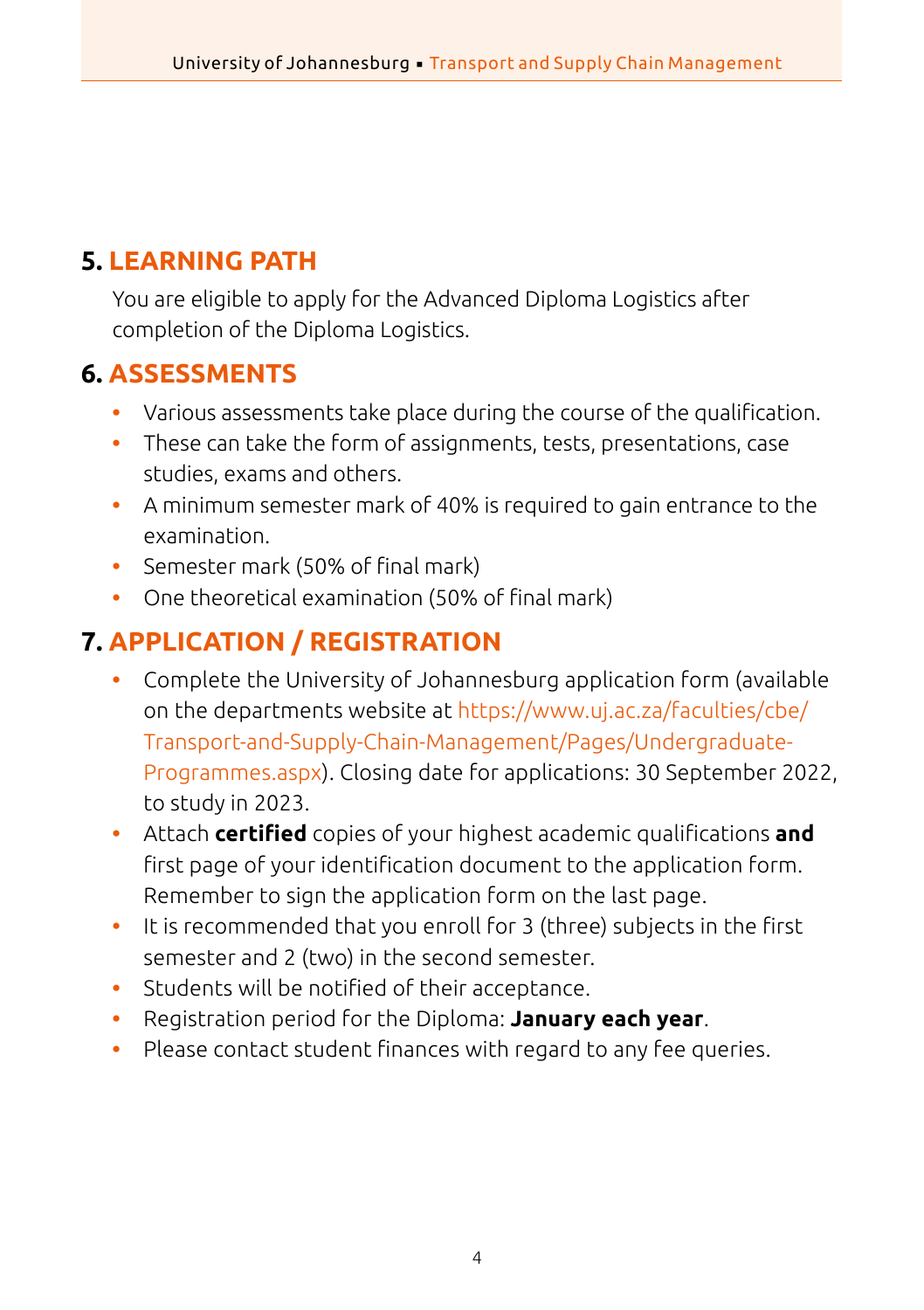## **5. LEARNING PATH**

You are eligible to apply for the Advanced Diploma Logistics after completion of the Diploma Logistics.

## **6. ASSESSMENTS**

- **•** Various assessments take place during the course of the qualification.
- **•** These can take the form of assignments, tests, presentations, case studies, exams and others.
- **•** A minimum semester mark of 40% is required to gain entrance to the examination.
- **•** Semester mark (50% of final mark)
- **•** One theoretical examination (50% of final mark)

## **7. APPLICATION / REGISTRATION**

- **•** Complete the University of Johannesburg application form (available on the departments website at [https://www.uj.ac.za/faculties/cbe/](https://www.uj.ac.za/faculties/cbe/Transport-and-Supply-Chain-Management/Pages/Undergraduate-Programmes.aspx) [Transport-and-Supply-Chain-Management/Pages/Undergraduate-](https://www.uj.ac.za/faculties/cbe/Transport-and-Supply-Chain-Management/Pages/Undergraduate-Programmes.aspx)[Programmes.aspx](https://www.uj.ac.za/faculties/cbe/Transport-and-Supply-Chain-Management/Pages/Undergraduate-Programmes.aspx)). Closing date for applications: 30 September 2022, to study in 2023.
- **•** Attach **certified** copies of your highest academic qualifications **and** first page of your identification document to the application form. Remember to sign the application form on the last page.
- **•** It is recommended that you enroll for 3 (three) subjects in the first semester and 2 (two) in the second semester.
- **•** Students will be notified of their acceptance.
- **•** Registration period for the Diploma: **January each year**.
- **•** Please contact student finances with regard to any fee queries.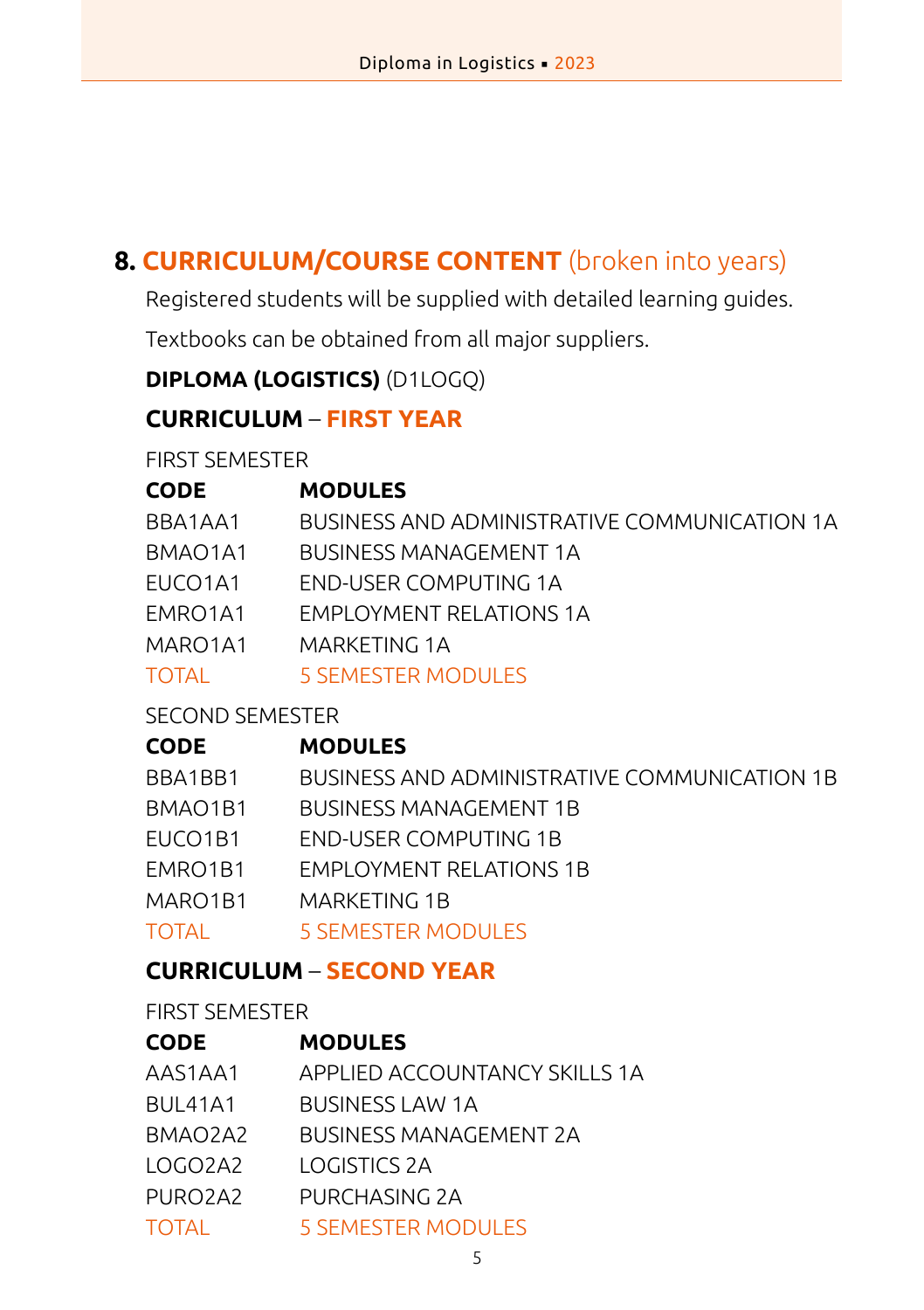## **8. CURRICULUM/COURSE CONTENT** (broken into years)

Registered students will be supplied with detailed learning guides.

Textbooks can be obtained from all major suppliers.

## **DIPLOMA (LOGISTICS)** (D1LOGQ)

#### **CURRICULUM** – **FIRST YEAR**

FIRST SEMESTER

| <b>CODE</b>                      | <b>MODULES</b>                               |
|----------------------------------|----------------------------------------------|
| BBA1AA1                          | BUSINESS AND ADMINISTRATIVE COMMUNICATION 1A |
| BMAO1A1                          | <b>BUSINESS MANAGEMENT 1A</b>                |
| EUCO <sub>1</sub> A <sub>1</sub> | END-USER COMPUTING 1A                        |
| EMRO1A1                          | EMPLOYMENT RELATIONS 1A                      |
| MARO1A1                          | MARKETING 1A                                 |
| TOTAL                            | 5 SEMESTER MODULES                           |
|                                  |                                              |

#### SECOND SEMESTER

#### **CODE MODULES**

| BBA1BB1      | BUSINESS AND ADMINISTRATIVE COMMUNICATION 1B |
|--------------|----------------------------------------------|
| BMAO1B1      | <b>BUSINESS MANAGEMENT 1B</b>                |
| EUCO1B1      | <b>END-USER COMPUTING 1B</b>                 |
| EMRO1B1      | <b>EMPLOYMENT RELATIONS 1B</b>               |
| MARO1B1      | MARKETING 1B                                 |
| <b>TOTAL</b> | 5 SEMESTER MODULES                           |

#### **CURRICULUM** – **SECOND YEAR**

FIRST SEMESTER

| <b>CODE</b>                      | <b>MODULES</b>                |
|----------------------------------|-------------------------------|
| AAS1AA1                          | APPLIED ACCOUNTANCY SKILLS 1A |
| <b>BUL41A1</b>                   | <b>BUSINESS LAW 1A</b>        |
| BMAO2A2                          | BUSINESS MANAGEMENT 2A        |
| LOGO2A2                          | LOGISTICS 2A                  |
| PURO <sub>2</sub> A <sub>2</sub> | PURCHASING 2A                 |
| <b>TOTAL</b>                     | <b>5 SEMESTER MODULES</b>     |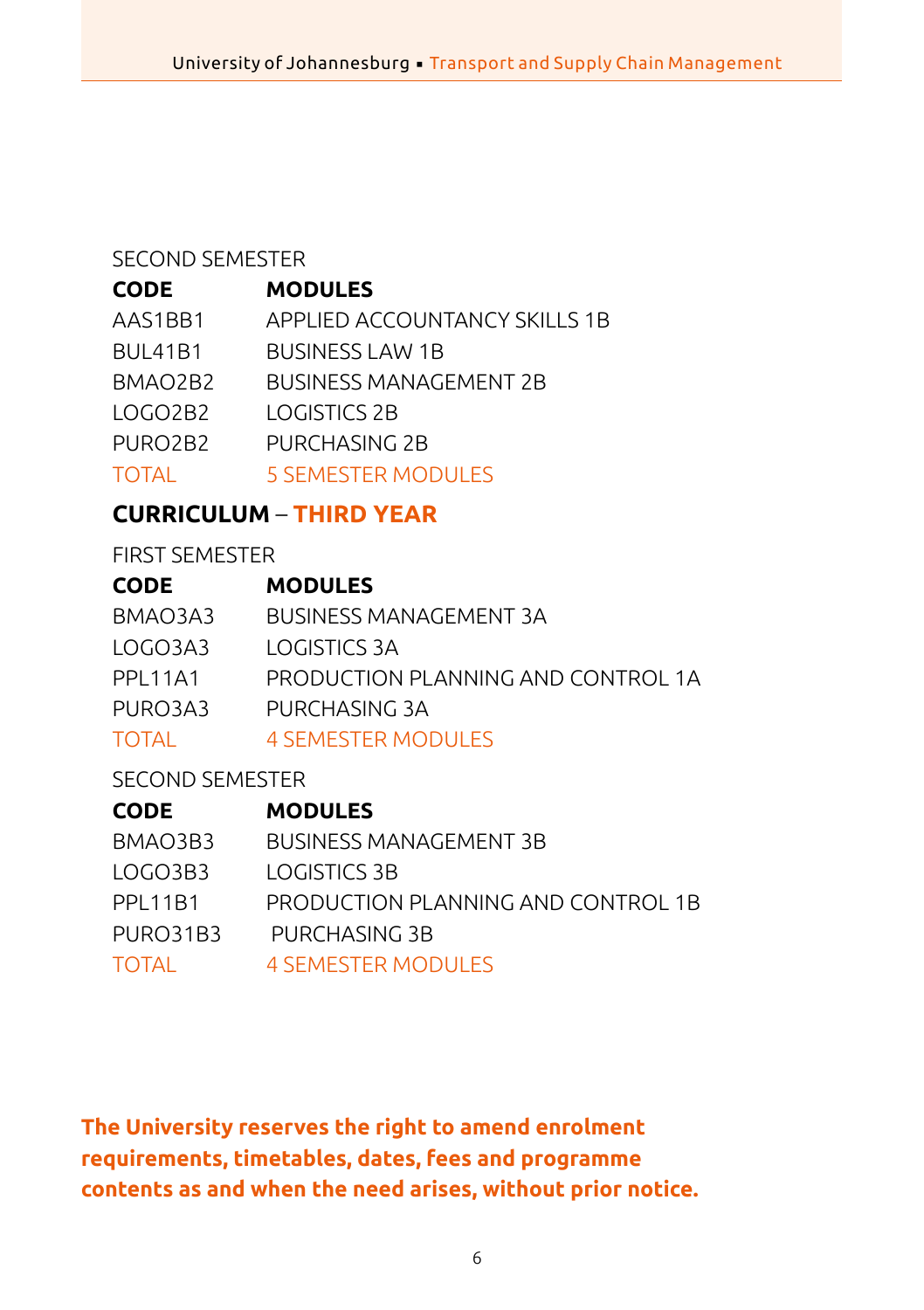#### SECOND SEMESTER

#### **CODE MODULES**

| AAS1BB1        | APPLIED ACCOUNTANCY SKILLS 1B |
|----------------|-------------------------------|
| <b>BUL41B1</b> | <b>BUSINESS LAW 1B</b>        |
| BMAO2B2        | <b>BUSINESS MANAGEMENT 2B</b> |
| LOGO2B2        | LOGISTICS 2B                  |
| PURO2B2        | PURCHASING 2B                 |
| <b>TOTAL</b>   | <b>5 SEMESTER MODULES</b>     |

## **CURRICULUM** – **THIRD YEAR**

#### FIRST SEMESTER

| <b>CODE</b>     | <b>MODULES</b>                     |
|-----------------|------------------------------------|
| BMAO3A3         | BUSINESS MANAGEMENT 3A             |
| LOGO3A3         | LOGISTICS 3A                       |
| <b>PPI 11A1</b> | PRODUCTION PLANNING AND CONTROL 1A |
| PURO3A3         | PURCHASING 3A                      |
| <b>TOTAL</b>    | <b>4 SEMESTER MODULES</b>          |

## SECOND SEMESTER

| CODE     | <b>MODULES</b>                     |
|----------|------------------------------------|
| BMAO3B3  | <b>BUSINESS MANAGEMENT 3B</b>      |
| LOGO3B3  | LOGISTICS 3B                       |
| PPI 11B1 | PRODUCTION PLANNING AND CONTROL 1B |
| PURO31B3 | PURCHASING 3B                      |
| TOTAL    | 4 SEMESTER MODULES                 |

**The University reserves the right to amend enrolment requirements, timetables, dates, fees and programme contents as and when the need arises, without prior notice.**